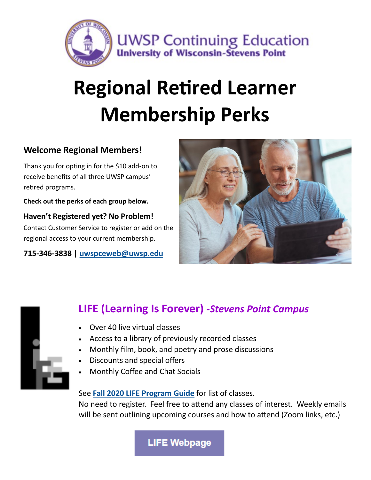

# **Regional Retired Learner Membership Perks**

### **Welcome Regional Members!**

Thank you for opting in for the \$10 add-on to receive benefits of all three UWSP campus' retired programs.

**Check out the perks of each group below.**

**Haven't Registered yet? No Problem!** Contact Customer Service to register or add on the regional access to your current membership.

**715-346-3838 | [uwspceweb@uwsp.edu](mailto:uwspceweb@uwsp.edu)**





## **LIFE (Learning Is Forever)** *-Stevens Point Campus*

- Over 40 live virtual classes
- Access to a library of previously recorded classes
- Monthly film, book, and poetry and prose discussions
- Discounts and special offers
- Monthly Coffee and Chat Socials

See **[Fall 2020 LIFE Program Guide](https://www.uwsp.edu/conted/Anon/FY21%20LIFE%20Fall%202020%20Program%20Guide%20Updated%2072020%20Two%20per%20Page.pdf)** for list of classes. No need to register. Feel free to attend any classes of interest. Weekly emails will be sent outlining upcoming courses and how to attend (Zoom links, etc.)

**LIFE Webpage**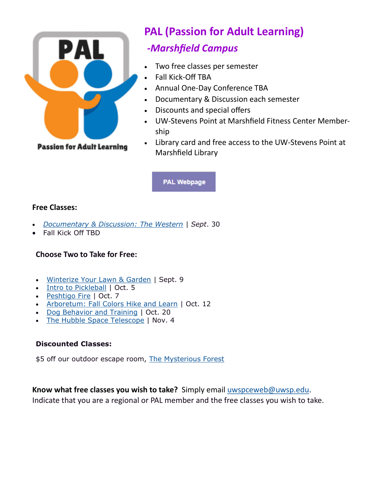

## **PAL (Passion for Adult Learning)**

## *-Marshfield Campus*

- Two free classes per semester
- Fall Kick-Off TBA
- Annual One-Day Conference TBA
- Documentary & Discussion each semester
- Discounts and special offers
- UW-Stevens Point at Marshfield Fitness Center Membership
- Library card and free access to the UW-Stevens Point at Marshfield Library

**PAL Webpage** 

#### **Free Classes:**

- *[Documentary & Discussion:](https://www.uwsp.edu/conted/Pages/Documentary-and-Discussion.aspx) The Western | Sept*. 30
- Fall Kick Off TBD

#### **Choose Two to Take for Free:**

- [Winterize Your Lawn & Garden](https://www.uwsp.edu/conted/Pages/Winterize-Putting-Your-Garden-and-Lawn-to-Bed.aspx) | Sept. 9
- [Intro to Pickleball](https://www.uwsp.edu/conted/Pages/Intro-to-Pickleball--.aspx) | Oct. 5
- [Peshtigo Fire](https://www.uwsp.edu/conted/Pages/Peshtigo-Fire.aspx) | Oct. 7
- [Arboretum: Fall Colors Hike and Learn](https://www.uwsp.edu/conted/Pages/Arboretum-Fall-Colors-Hike-and-Learn.aspx) | Oct. 12
- [Dog Behavior and Training](https://www.uwsp.edu/conted/Pages/Dog-Behavior-and-Training.aspx) | Oct. 20
- [The Hubble Space Telescope](https://www.uwsp.edu/conted/Pages/The-Hubble-Space-Telescope.aspx) | Nov. 4

#### **Discounted Classes:**

\$5 off our outdoor escape room, [The Mysterious Forest](https://www.uwsp.edu/conted/Pages/Escape-Rooms.aspx)

**Know what free classes you wish to take?** Simply email [uwspceweb@uwsp.edu.](mailto:uwspceweb@uwsp.edu) Indicate that you are a regional or PAL member and the free classes you wish to take.